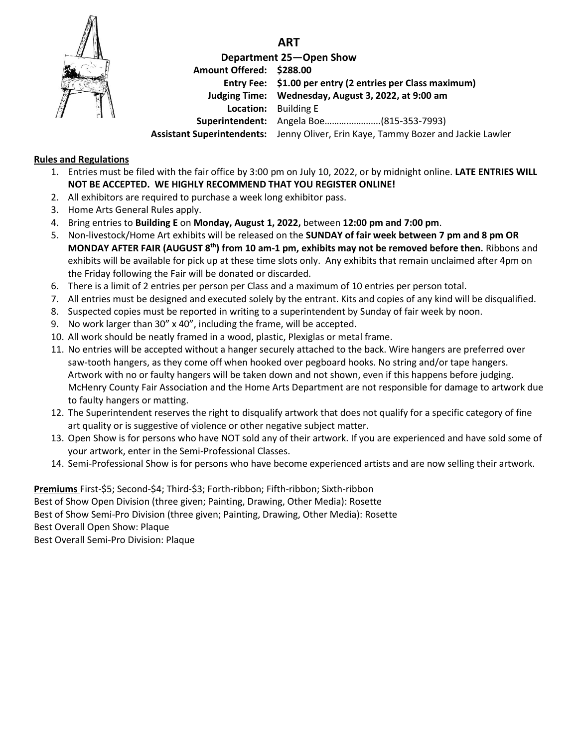

**ART**

**Department 25—Open Show Amount Offered: \$288.00 Entry Fee: \$1.00 per entry (2 entries per Class maximum) Judging Time: Wednesday, August 3, 2022, at 9:00 am Location:** Building E **Superintendent:** Angela Boe………..…….…..(815-353-7993) **Assistant Superintendents:** Jenny Oliver, Erin Kaye, Tammy Bozer and Jackie Lawler

## **Rules and Regulations**

- 1. Entries must be filed with the fair office by 3:00 pm on July 10, 2022, or by midnight online. **LATE ENTRIES WILL NOT BE ACCEPTED. WE HIGHLY RECOMMEND THAT YOU REGISTER ONLINE!**
- 2. All exhibitors are required to purchase a week long exhibitor pass.
- 3. Home Arts General Rules apply.
- 4. Bring entries to **Building E** on **Monday, August 1, 2022,** between **12:00 pm and 7:00 pm**.
- 5. Non-livestock/Home Art exhibits will be released on the **SUNDAY of fair week between 7 pm and 8 pm OR MONDAY AFTER FAIR (AUGUST 8 th) from 10 am-1 pm, exhibits may not be removed before then.** Ribbons and exhibits will be available for pick up at these time slots only. Any exhibits that remain unclaimed after 4pm on the Friday following the Fair will be donated or discarded.
- 6. There is a limit of 2 entries per person per Class and a maximum of 10 entries per person total.
- 7. All entries must be designed and executed solely by the entrant. Kits and copies of any kind will be disqualified.
- 8. Suspected copies must be reported in writing to a superintendent by Sunday of fair week by noon.
- 9. No work larger than 30" x 40", including the frame, will be accepted.
- 10. All work should be neatly framed in a wood, plastic, Plexiglas or metal frame.
- 11. No entries will be accepted without a hanger securely attached to the back. Wire hangers are preferred over saw-tooth hangers, as they come off when hooked over pegboard hooks. No string and/or tape hangers. Artwork with no or faulty hangers will be taken down and not shown, even if this happens before judging. McHenry County Fair Association and the Home Arts Department are not responsible for damage to artwork due to faulty hangers or matting.
- 12. The Superintendent reserves the right to disqualify artwork that does not qualify for a specific category of fine art quality or is suggestive of violence or other negative subject matter.
- 13. Open Show is for persons who have NOT sold any of their artwork. If you are experienced and have sold some of your artwork, enter in the Semi-Professional Classes.
- 14. Semi-Professional Show is for persons who have become experienced artists and are now selling their artwork.

**Premiums** First-\$5; Second-\$4; Third-\$3; Forth-ribbon; Fifth-ribbon; Sixth-ribbon Best of Show Open Division (three given; Painting, Drawing, Other Media): Rosette Best of Show Semi-Pro Division (three given; Painting, Drawing, Other Media): Rosette Best Overall Open Show: Plaque Best Overall Semi-Pro Division: Plaque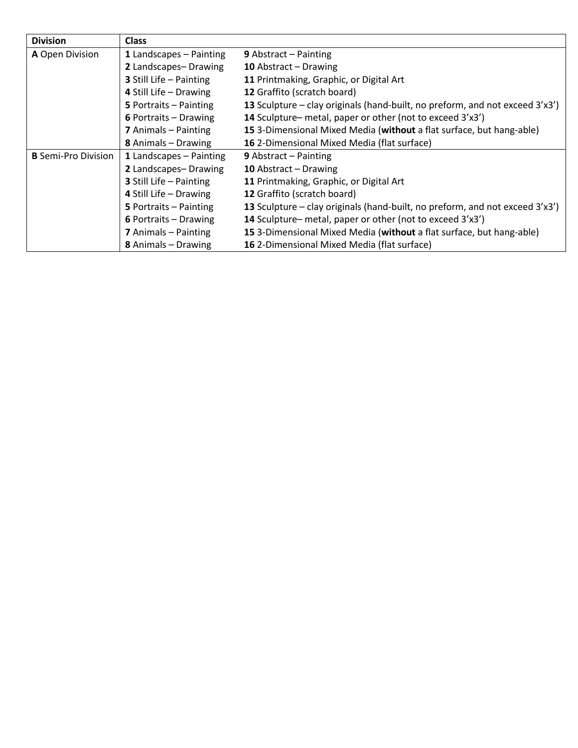| <b>Division</b>            | <b>Class</b>                   |                                                                              |
|----------------------------|--------------------------------|------------------------------------------------------------------------------|
| A Open Division            | 1 Landscapes - Painting        | <b>9</b> Abstract $-$ Painting                                               |
|                            | 2 Landscapes-Drawing           | 10 Abstract - Drawing                                                        |
|                            | <b>3</b> Still Life - Painting | 11 Printmaking, Graphic, or Digital Art                                      |
|                            | 4 Still Life - Drawing         | 12 Graffito (scratch board)                                                  |
|                            | 5 Portraits - Painting         | 13 Sculpture – clay originals (hand-built, no preform, and not exceed 3'x3') |
|                            | 6 Portraits - Drawing          | 14 Sculpture– metal, paper or other (not to exceed 3'x3')                    |
|                            | 7 Animals - Painting           | 15 3-Dimensional Mixed Media (without a flat surface, but hang-able)         |
|                            | 8 Animals - Drawing            | 16 2-Dimensional Mixed Media (flat surface)                                  |
| <b>B</b> Semi-Pro Division | 1 Landscapes - Painting        | <b>9</b> Abstract $-$ Painting                                               |
|                            | 2 Landscapes-Drawing           | 10 Abstract - Drawing                                                        |
|                            | 3 Still Life - Painting        | 11 Printmaking, Graphic, or Digital Art                                      |
|                            | 4 Still Life - Drawing         | 12 Graffito (scratch board)                                                  |
|                            | 5 Portraits - Painting         | 13 Sculpture – clay originals (hand-built, no preform, and not exceed 3'x3') |
|                            | 6 Portraits - Drawing          | 14 Sculpture– metal, paper or other (not to exceed 3'x3')                    |
|                            | 7 Animals - Painting           | 15 3-Dimensional Mixed Media (without a flat surface, but hang-able)         |
|                            | 8 Animals - Drawing            | 16 2-Dimensional Mixed Media (flat surface)                                  |